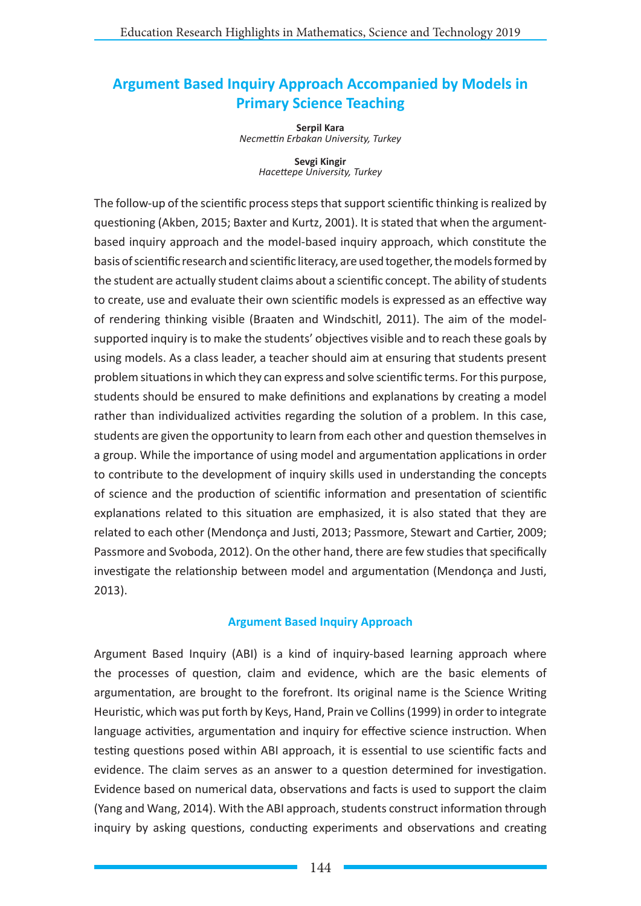# **Argument Based Inquiry Approach Accompanied by Models in Primary Science Teaching**

**Serpil Kara** *Necmettin Erbakan University, Turkey*

> **Sevgi Kingir** *Hacettepe University, Turkey*

The follow-up of the scientific process steps that support scientific thinking is realized by questioning (Akben, 2015; Baxter and Kurtz, 2001). It is stated that when the argumentbased inquiry approach and the model-based inquiry approach, which constitute the basis of scientific research and scientific literacy, are used together, the models formed by the student are actually student claims about a scientific concept. The ability of students to create, use and evaluate their own scientific models is expressed as an effective way of rendering thinking visible (Braaten and Windschitl, 2011). The aim of the modelsupported inquiry is to make the students' objectives visible and to reach these goals by using models. As a class leader, a teacher should aim at ensuring that students present problem situations in which they can express and solve scientific terms. For this purpose, students should be ensured to make definitions and explanations by creating a model rather than individualized activities regarding the solution of a problem. In this case, students are given the opportunity to learn from each other and question themselves in a group. While the importance of using model and argumentation applications in order to contribute to the development of inquiry skills used in understanding the concepts of science and the production of scientific information and presentation of scientific explanations related to this situation are emphasized, it is also stated that they are related to each other (Mendonça and Justi, 2013; Passmore, Stewart and Cartier, 2009; Passmore and Svoboda, 2012). On the other hand, there are few studies that specifically investigate the relationship between model and argumentation (Mendonça and Justi, 2013).

# **Argument Based Inquiry Approach**

Argument Based Inquiry (ABI) is a kind of inquiry-based learning approach where the processes of question, claim and evidence, which are the basic elements of argumentation, are brought to the forefront. Its original name is the Science Writing Heuristic, which was put forth by Keys, Hand, Prain ve Collins (1999) in order to integrate language activities, argumentation and inquiry for effective science instruction. When testing questions posed within ABI approach, it is essential to use scientific facts and evidence. The claim serves as an answer to a question determined for investigation. Evidence based on numerical data, observations and facts is used to support the claim (Yang and Wang, 2014). With the ABI approach, students construct information through inquiry by asking questions, conducting experiments and observations and creating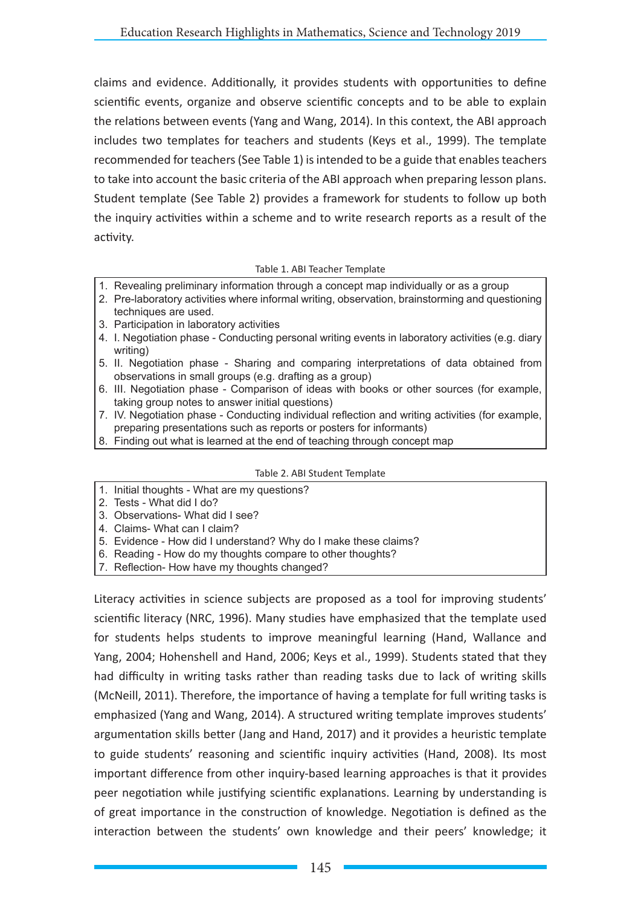claims and evidence. Additionally, it provides students with opportunities to define scientific events, organize and observe scientific concepts and to be able to explain the relations between events (Yang and Wang, 2014). In this context, the ABI approach includes two templates for teachers and students (Keys et al., 1999). The template recommended for teachers (See Table 1) is intended to be a guide that enables teachers to take into account the basic criteria of the ABI approach when preparing lesson plans. Student template (See Table 2) provides a framework for students to follow up both the inquiry activities within a scheme and to write research reports as a result of the activity.

### Table 1. ABI Teacher Template

- 1. Revealing preliminary information through a concept map individually or as a group
- 2. Pre-laboratory activities where informal writing, observation, brainstorming and questioning techniques are used.
- 3. Participation in laboratory activities
- 4. I. Negotiation phase Conducting personal writing events in laboratory activities (e.g. diary writing)
- 5. II. Negotiation phase Sharing and comparing interpretations of data obtained from observations in small groups (e.g. drafting as a group)
- 6. III. Negotiation phase Comparison of ideas with books or other sources (for example, taking group notes to answer initial questions)
- 7. IV. Negotiation phase Conducting individual reflection and writing activities (for example, preparing presentations such as reports or posters for informants)
- 8. Finding out what is learned at the end of teaching through concept map

### Table 2. ABI Student Template

- 1. Initial thoughts What are my questions?
- 2. Tests What did I do?
- 3. Observations- What did I see?
- 4. Claims- What can I claim?
- 5. Evidence How did I understand? Why do I make these claims?
- 6. Reading How do my thoughts compare to other thoughts?
- 7. Reflection- How have my thoughts changed?

Literacy activities in science subjects are proposed as a tool for improving students' scientific literacy (NRC, 1996). Many studies have emphasized that the template used for students helps students to improve meaningful learning (Hand, Wallance and Yang, 2004; Hohenshell and Hand, 2006; Keys et al., 1999). Students stated that they had difficulty in writing tasks rather than reading tasks due to lack of writing skills (McNeill, 2011). Therefore, the importance of having a template for full writing tasks is emphasized (Yang and Wang, 2014). A structured writing template improves students' argumentation skills better (Jang and Hand, 2017) and it provides a heuristic template to guide students' reasoning and scientific inquiry activities (Hand, 2008). Its most important difference from other inquiry-based learning approaches is that it provides peer negotiation while justifying scientific explanations. Learning by understanding is of great importance in the construction of knowledge. Negotiation is defined as the interaction between the students' own knowledge and their peers' knowledge; it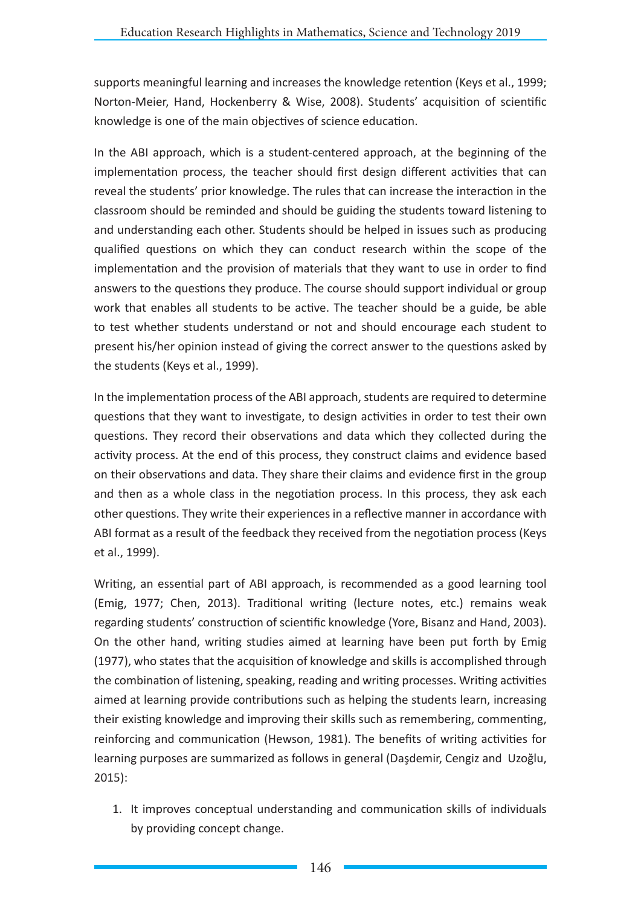supports meaningful learning and increases the knowledge retention (Keys et al., 1999; Norton-Meier, Hand, Hockenberry & Wise, 2008). Students' acquisition of scientific knowledge is one of the main objectives of science education.

In the ABI approach, which is a student-centered approach, at the beginning of the implementation process, the teacher should first design different activities that can reveal the students' prior knowledge. The rules that can increase the interaction in the classroom should be reminded and should be guiding the students toward listening to and understanding each other. Students should be helped in issues such as producing qualified questions on which they can conduct research within the scope of the implementation and the provision of materials that they want to use in order to find answers to the questions they produce. The course should support individual or group work that enables all students to be active. The teacher should be a guide, be able to test whether students understand or not and should encourage each student to present his/her opinion instead of giving the correct answer to the questions asked by the students (Keys et al., 1999).

In the implementation process of the ABI approach, students are required to determine questions that they want to investigate, to design activities in order to test their own questions. They record their observations and data which they collected during the activity process. At the end of this process, they construct claims and evidence based on their observations and data. They share their claims and evidence first in the group and then as a whole class in the negotiation process. In this process, they ask each other questions. They write their experiences in a reflective manner in accordance with ABI format as a result of the feedback they received from the negotiation process (Keys et al., 1999).

Writing, an essential part of ABI approach, is recommended as a good learning tool (Emig, 1977; Chen, 2013). Traditional writing (lecture notes, etc.) remains weak regarding students' construction of scientific knowledge (Yore, Bisanz and Hand, 2003). On the other hand, writing studies aimed at learning have been put forth by Emig (1977), who states that the acquisition of knowledge and skills is accomplished through the combination of listening, speaking, reading and writing processes. Writing activities aimed at learning provide contributions such as helping the students learn, increasing their existing knowledge and improving their skills such as remembering, commenting, reinforcing and communication (Hewson, 1981). The benefits of writing activities for learning purposes are summarized as follows in general (Daşdemir, Cengiz and Uzoğlu, 2015):

1. It improves conceptual understanding and communication skills of individuals by providing concept change.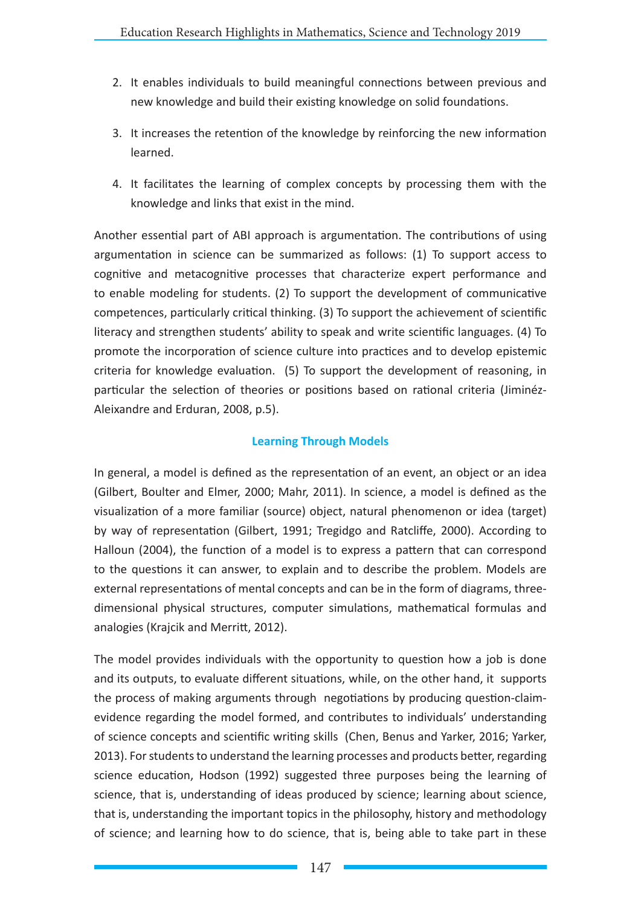- 2. It enables individuals to build meaningful connections between previous and new knowledge and build their existing knowledge on solid foundations.
- 3. It increases the retention of the knowledge by reinforcing the new information learned.
- 4. It facilitates the learning of complex concepts by processing them with the knowledge and links that exist in the mind.

Another essential part of ABI approach is argumentation. The contributions of using argumentation in science can be summarized as follows: (1) To support access to cognitive and metacognitive processes that characterize expert performance and to enable modeling for students. (2) To support the development of communicative competences, particularly critical thinking. (3) To support the achievement of scientific literacy and strengthen students' ability to speak and write scientific languages. (4) To promote the incorporation of science culture into practices and to develop epistemic criteria for knowledge evaluation. (5) To support the development of reasoning, in particular the selection of theories or positions based on rational criteria (Jiminéz-Aleixandre and Erduran, 2008, p.5).

# **Learning Through Models**

In general, a model is defined as the representation of an event, an object or an idea (Gilbert, Boulter and Elmer, 2000; Mahr, 2011). In science, a model is defined as the visualization of a more familiar (source) object, natural phenomenon or idea (target) by way of representation (Gilbert, 1991; Tregidgo and Ratcliffe, 2000). According to Halloun (2004), the function of a model is to express a pattern that can correspond to the questions it can answer, to explain and to describe the problem. Models are external representations of mental concepts and can be in the form of diagrams, threedimensional physical structures, computer simulations, mathematical formulas and analogies (Krajcik and Merritt, 2012).

The model provides individuals with the opportunity to question how a job is done and its outputs, to evaluate different situations, while, on the other hand, it supports the process of making arguments through negotiations by producing question-claimevidence regarding the model formed, and contributes to individuals' understanding of science concepts and scientific writing skills (Chen, Benus and Yarker, 2016; Yarker, 2013). For students to understand the learning processes and products better, regarding science education, Hodson (1992) suggested three purposes being the learning of science, that is, understanding of ideas produced by science; learning about science, that is, understanding the important topics in the philosophy, history and methodology of science; and learning how to do science, that is, being able to take part in these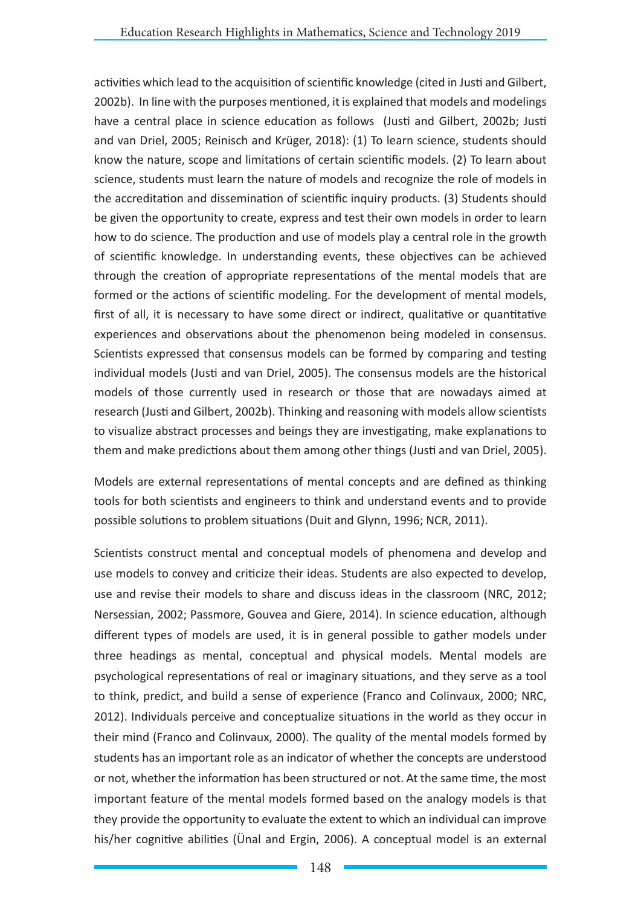activities which lead to the acquisition of scientific knowledge (cited in Justi and Gilbert, 2002b). In line with the purposes mentioned, it is explained that models and modelings have a central place in science education as follows (Justi and Gilbert, 2002b; Justi and van Driel, 2005; Reinisch and Krüger, 2018): (1) To learn science, students should know the nature, scope and limitations of certain scientific models. (2) To learn about science, students must learn the nature of models and recognize the role of models in the accreditation and dissemination of scientific inquiry products. (3) Students should be given the opportunity to create, express and test their own models in order to learn how to do science. The production and use of models play a central role in the growth of scientific knowledge. In understanding events, these objectives can be achieved through the creation of appropriate representations of the mental models that are formed or the actions of scientific modeling. For the development of mental models, first of all, it is necessary to have some direct or indirect, qualitative or quantitative experiences and observations about the phenomenon being modeled in consensus. Scientists expressed that consensus models can be formed by comparing and testing individual models (Justi and van Driel, 2005). The consensus models are the historical models of those currently used in research or those that are nowadays aimed at research (Justi and Gilbert, 2002b). Thinking and reasoning with models allow scientists to visualize abstract processes and beings they are investigating, make explanations to them and make predictions about them among other things (Justi and van Driel, 2005).

Models are external representations of mental concepts and are defined as thinking tools for both scientists and engineers to think and understand events and to provide possible solutions to problem situations (Duit and Glynn, 1996; NCR, 2011).

Scientists construct mental and conceptual models of phenomena and develop and use models to convey and criticize their ideas. Students are also expected to develop, use and revise their models to share and discuss ideas in the classroom (NRC, 2012; Nersessian, 2002; Passmore, Gouvea and Giere, 2014). In science education, although different types of models are used, it is in general possible to gather models under three headings as mental, conceptual and physical models. Mental models are psychological representations of real or imaginary situations, and they serve as a tool to think, predict, and build a sense of experience (Franco and Colinvaux, 2000; NRC, 2012). Individuals perceive and conceptualize situations in the world as they occur in their mind (Franco and Colinvaux, 2000). The quality of the mental models formed by students has an important role as an indicator of whether the concepts are understood or not, whether the information has been structured or not. At the same time, the most important feature of the mental models formed based on the analogy models is that they provide the opportunity to evaluate the extent to which an individual can improve his/her cognitive abilities (Ünal and Ergin, 2006). A conceptual model is an external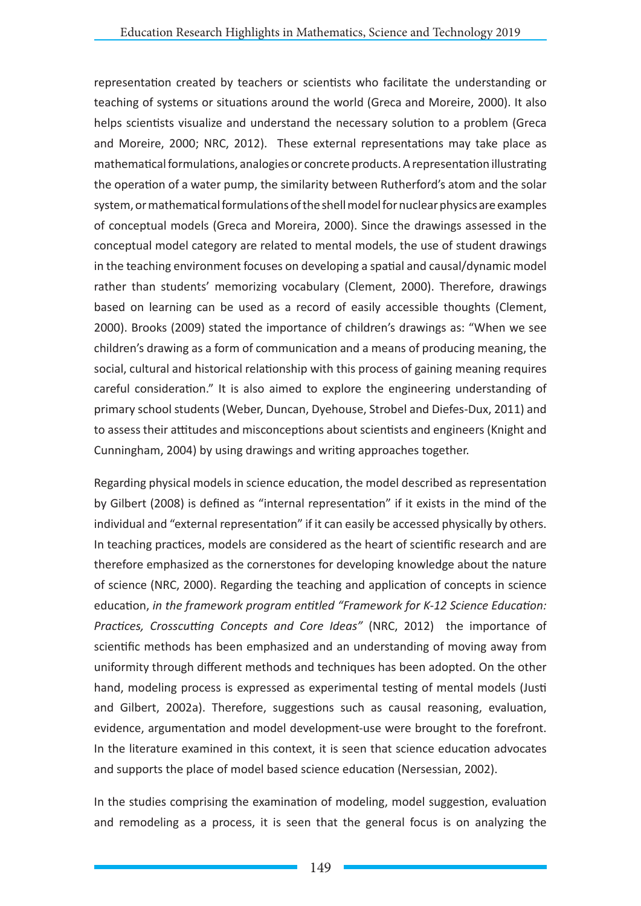representation created by teachers or scientists who facilitate the understanding or teaching of systems or situations around the world (Greca and Moreire, 2000). It also helps scientists visualize and understand the necessary solution to a problem (Greca and Moreire, 2000; NRC, 2012). These external representations may take place as mathematical formulations, analogies or concrete products. A representation illustrating the operation of a water pump, the similarity between Rutherford's atom and the solar system, or mathematical formulations of the shell model for nuclear physics are examples of conceptual models (Greca and Moreira, 2000). Since the drawings assessed in the conceptual model category are related to mental models, the use of student drawings in the teaching environment focuses on developing a spatial and causal/dynamic model rather than students' memorizing vocabulary (Clement, 2000). Therefore, drawings based on learning can be used as a record of easily accessible thoughts (Clement, 2000). Brooks (2009) stated the importance of children's drawings as: "When we see children's drawing as a form of communication and a means of producing meaning, the social, cultural and historical relationship with this process of gaining meaning requires careful consideration." It is also aimed to explore the engineering understanding of primary school students (Weber, Duncan, Dyehouse, Strobel and Diefes-Dux, 2011) and to assess their attitudes and misconceptions about scientists and engineers (Knight and Cunningham, 2004) by using drawings and writing approaches together.

Regarding physical models in science education, the model described as representation by Gilbert (2008) is defined as "internal representation" if it exists in the mind of the individual and "external representation" if it can easily be accessed physically by others. In teaching practices, models are considered as the heart of scientific research and are therefore emphasized as the cornerstones for developing knowledge about the nature of science (NRC, 2000). Regarding the teaching and application of concepts in science education, *in the framework program entitled "Framework for K-12 Science Education: Practices, Crosscutting Concepts and Core Ideas"* (NRC, 2012) the importance of scientific methods has been emphasized and an understanding of moving away from uniformity through different methods and techniques has been adopted. On the other hand, modeling process is expressed as experimental testing of mental models (Justi and Gilbert, 2002a). Therefore, suggestions such as causal reasoning, evaluation, evidence, argumentation and model development-use were brought to the forefront. In the literature examined in this context, it is seen that science education advocates and supports the place of model based science education (Nersessian, 2002).

In the studies comprising the examination of modeling, model suggestion, evaluation and remodeling as a process, it is seen that the general focus is on analyzing the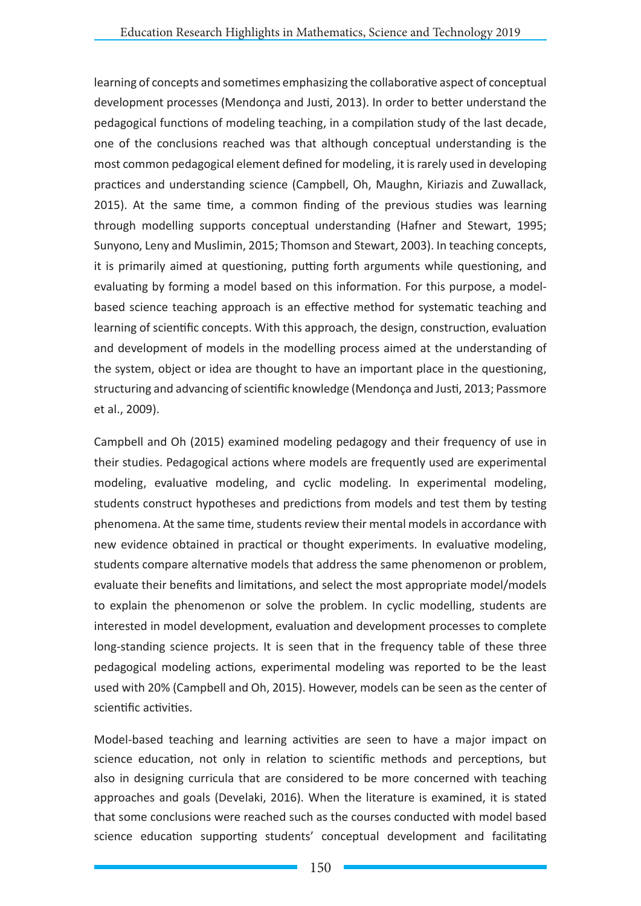learning of concepts and sometimes emphasizing the collaborative aspect of conceptual development processes (Mendonça and Justi, 2013). In order to better understand the pedagogical functions of modeling teaching, in a compilation study of the last decade, one of the conclusions reached was that although conceptual understanding is the most common pedagogical element defined for modeling, it is rarely used in developing practices and understanding science (Campbell, Oh, Maughn, Kiriazis and Zuwallack, 2015). At the same time, a common finding of the previous studies was learning through modelling supports conceptual understanding (Hafner and Stewart, 1995; Sunyono, Leny and Muslimin, 2015; Thomson and Stewart, 2003). In teaching concepts, it is primarily aimed at questioning, putting forth arguments while questioning, and evaluating by forming a model based on this information. For this purpose, a modelbased science teaching approach is an effective method for systematic teaching and learning of scientific concepts. With this approach, the design, construction, evaluation and development of models in the modelling process aimed at the understanding of the system, object or idea are thought to have an important place in the questioning, structuring and advancing of scientific knowledge (Mendonça and Justi, 2013; Passmore et al., 2009).

Campbell and Oh (2015) examined modeling pedagogy and their frequency of use in their studies. Pedagogical actions where models are frequently used are experimental modeling, evaluative modeling, and cyclic modeling. In experimental modeling, students construct hypotheses and predictions from models and test them by testing phenomena. At the same time, students review their mental models in accordance with new evidence obtained in practical or thought experiments. In evaluative modeling, students compare alternative models that address the same phenomenon or problem, evaluate their benefits and limitations, and select the most appropriate model/models to explain the phenomenon or solve the problem. In cyclic modelling, students are interested in model development, evaluation and development processes to complete long-standing science projects. It is seen that in the frequency table of these three pedagogical modeling actions, experimental modeling was reported to be the least used with 20% (Campbell and Oh, 2015). However, models can be seen as the center of scientific activities.

Model-based teaching and learning activities are seen to have a major impact on science education, not only in relation to scientific methods and perceptions, but also in designing curricula that are considered to be more concerned with teaching approaches and goals (Develaki, 2016). When the literature is examined, it is stated that some conclusions were reached such as the courses conducted with model based science education supporting students' conceptual development and facilitating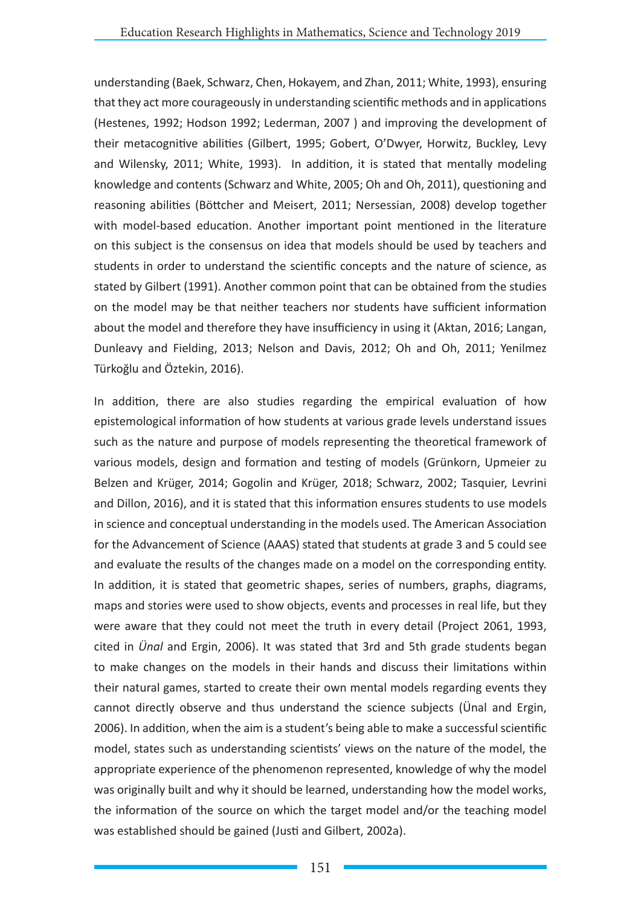understanding (Baek, Schwarz, Chen, Hokayem, and Zhan, 2011; White, 1993), ensuring that they act more courageously in understanding scientific methods and in applications (Hestenes, 1992; Hodson 1992; Lederman, 2007 ) and improving the development of their metacognitive abilities (Gilbert, 1995; Gobert, O'Dwyer, Horwitz, Buckley, Levy and Wilensky, 2011; White, 1993). In addition, it is stated that mentally modeling knowledge and contents (Schwarz and White, 2005; Oh and Oh, 2011), questioning and reasoning abilities (Böttcher and Meisert, 2011; Nersessian, 2008) develop together with model-based education. Another important point mentioned in the literature on this subject is the consensus on idea that models should be used by teachers and students in order to understand the scientific concepts and the nature of science, as stated by Gilbert (1991). Another common point that can be obtained from the studies on the model may be that neither teachers nor students have sufficient information about the model and therefore they have insufficiency in using it (Aktan, 2016; Langan, Dunleavy and Fielding, 2013; Nelson and Davis, 2012; Oh and Oh, 2011; Yenilmez Türkoğlu and Öztekin, 2016).

In addition, there are also studies regarding the empirical evaluation of how epistemological information of how students at various grade levels understand issues such as the nature and purpose of models representing the theoretical framework of various models, design and formation and testing of models (Grünkorn, Upmeier zu Belzen and Krüger, 2014; Gogolin and Krüger, 2018; Schwarz, 2002; Tasquier, Levrini and Dillon, 2016), and it is stated that this information ensures students to use models in science and conceptual understanding in the models used. The American Association for the Advancement of Science (AAAS) stated that students at grade 3 and 5 could see and evaluate the results of the changes made on a model on the corresponding entity. In addition, it is stated that geometric shapes, series of numbers, graphs, diagrams, maps and stories were used to show objects, events and processes in real life, but they were aware that they could not meet the truth in every detail (Project 2061, 1993, cited in *Ünal* and Ergin, 2006). It was stated that 3rd and 5th grade students began to make changes on the models in their hands and discuss their limitations within their natural games, started to create their own mental models regarding events they cannot directly observe and thus understand the science subjects (Ünal and Ergin, 2006). In addition, when the aim is a student's being able to make a successful scientific model, states such as understanding scientists' views on the nature of the model, the appropriate experience of the phenomenon represented, knowledge of why the model was originally built and why it should be learned, understanding how the model works, the information of the source on which the target model and/or the teaching model was established should be gained (Justi and Gilbert, 2002a).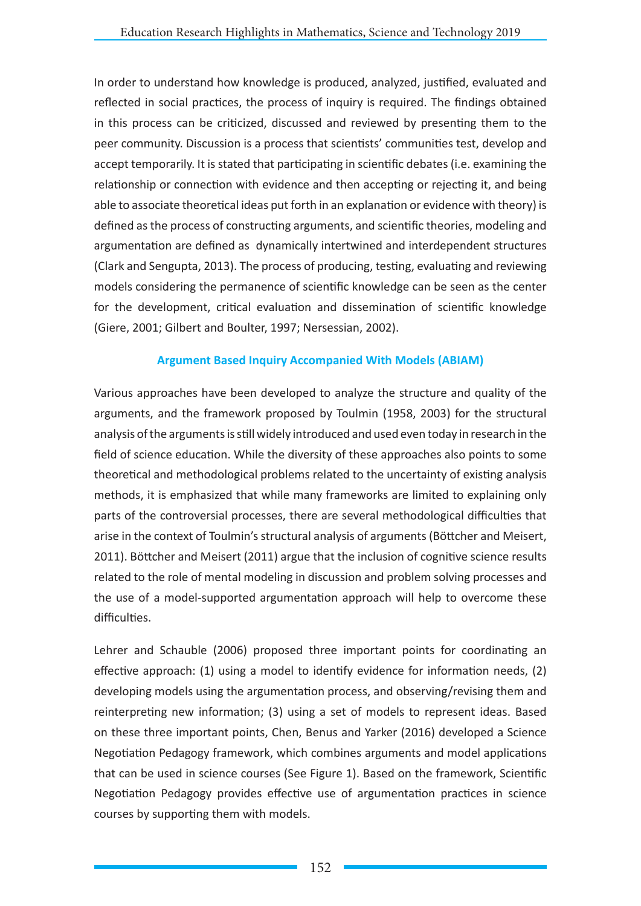In order to understand how knowledge is produced, analyzed, justified, evaluated and reflected in social practices, the process of inquiry is required. The findings obtained in this process can be criticized, discussed and reviewed by presenting them to the peer community. Discussion is a process that scientists' communities test, develop and accept temporarily. It is stated that participating in scientific debates (i.e. examining the relationship or connection with evidence and then accepting or rejecting it, and being able to associate theoretical ideas put forth in an explanation or evidence with theory) is defined as the process of constructing arguments, and scientific theories, modeling and argumentation are defined as dynamically intertwined and interdependent structures (Clark and Sengupta, 2013). The process of producing, testing, evaluating and reviewing models considering the permanence of scientific knowledge can be seen as the center for the development, critical evaluation and dissemination of scientific knowledge (Giere, 2001; Gilbert and Boulter, 1997; Nersessian, 2002).

# **Argument Based Inquiry Accompanied With Models (ABIAM)**

Various approaches have been developed to analyze the structure and quality of the arguments, and the framework proposed by Toulmin (1958, 2003) for the structural analysis of the arguments is still widely introduced and used even today in research in the field of science education. While the diversity of these approaches also points to some theoretical and methodological problems related to the uncertainty of existing analysis methods, it is emphasized that while many frameworks are limited to explaining only parts of the controversial processes, there are several methodological difficulties that arise in the context of Toulmin's structural analysis of arguments (Böttcher and Meisert, 2011). Böttcher and Meisert (2011) argue that the inclusion of cognitive science results related to the role of mental modeling in discussion and problem solving processes and the use of a model-supported argumentation approach will help to overcome these difficulties.

Lehrer and Schauble (2006) proposed three important points for coordinating an effective approach: (1) using a model to identify evidence for information needs, (2) developing models using the argumentation process, and observing/revising them and reinterpreting new information; (3) using a set of models to represent ideas. Based on these three important points, Chen, Benus and Yarker (2016) developed a Science Negotiation Pedagogy framework, which combines arguments and model applications that can be used in science courses (See Figure 1). Based on the framework, Scientific Negotiation Pedagogy provides effective use of argumentation practices in science courses by supporting them with models.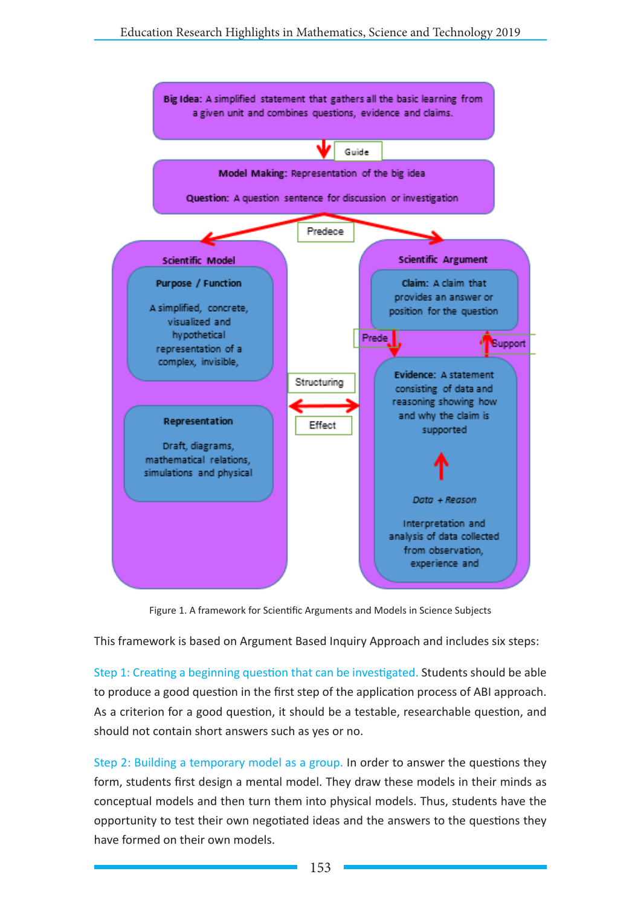

Figure 1. A framework for Scientific Arguments and Models in Science Subjects

This framework is based on Argument Based Inquiry Approach and includes six steps:

Step 1: Creating a beginning question that can be investigated. Students should be able to produce a good question in the first step of the application process of ABI approach. As a criterion for a good question, it should be a testable, researchable question, and should not contain short answers such as yes or no.

Step 2: Building a temporary model as a group. In order to answer the questions they form, students first design a mental model. They draw these models in their minds as conceptual models and then turn them into physical models. Thus, students have the opportunity to test their own negotiated ideas and the answers to the questions they have formed on their own models.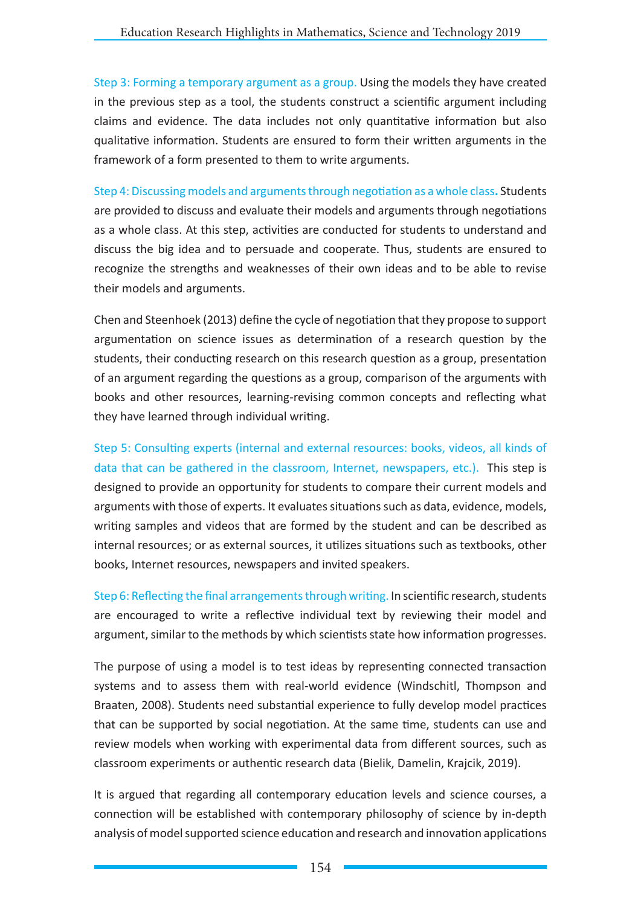Step 3: Forming a temporary argument as a group. Using the models they have created in the previous step as a tool, the students construct a scientific argument including claims and evidence. The data includes not only quantitative information but also qualitative information. Students are ensured to form their written arguments in the framework of a form presented to them to write arguments.

Step 4: Discussing models and arguments through negotiation as a whole class**.** Students are provided to discuss and evaluate their models and arguments through negotiations as a whole class. At this step, activities are conducted for students to understand and discuss the big idea and to persuade and cooperate. Thus, students are ensured to recognize the strengths and weaknesses of their own ideas and to be able to revise their models and arguments.

Chen and Steenhoek (2013) define the cycle of negotiation that they propose to support argumentation on science issues as determination of a research question by the students, their conducting research on this research question as a group, presentation of an argument regarding the questions as a group, comparison of the arguments with books and other resources, learning-revising common concepts and reflecting what they have learned through individual writing.

Step 5: Consulting experts (internal and external resources: books, videos, all kinds of data that can be gathered in the classroom, Internet, newspapers, etc.).This step is designed to provide an opportunity for students to compare their current models and arguments with those of experts. It evaluates situations such as data, evidence, models, writing samples and videos that are formed by the student and can be described as internal resources; or as external sources, it utilizes situations such as textbooks, other books, Internet resources, newspapers and invited speakers.

Step 6: Reflecting the final arrangements through writing. In scientific research, students are encouraged to write a reflective individual text by reviewing their model and argument, similar to the methods by which scientists state how information progresses.

The purpose of using a model is to test ideas by representing connected transaction systems and to assess them with real-world evidence (Windschitl, Thompson and Braaten, 2008). Students need substantial experience to fully develop model practices that can be supported by social negotiation. At the same time, students can use and review models when working with experimental data from different sources, such as classroom experiments or authentic research data (Bielik, Damelin, Krajcik, 2019).

It is argued that regarding all contemporary education levels and science courses, a connection will be established with contemporary philosophy of science by in-depth analysis of model supported science education and research and innovation applications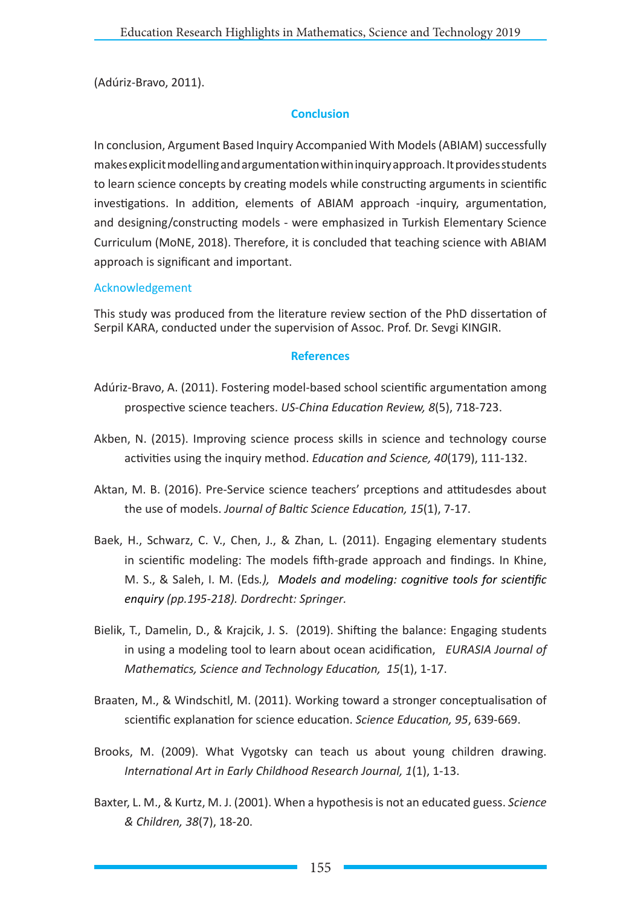(Adúriz-Bravo, 2011).

## **Conclusion**

In conclusion, Argument Based Inquiry Accompanied With Models (ABIAM) successfully makes explicit modelling and argumentation within inquiry approach. It provides students to learn science concepts by creating models while constructing arguments in scientific investigations. In addition, elements of ABIAM approach -inquiry, argumentation, and designing/constructing models - were emphasized in Turkish Elementary Science Curriculum (MoNE, 2018). Therefore, it is concluded that teaching science with ABIAM approach is significant and important.

### Acknowledgement

This study was produced from the literature review section of the PhD dissertation of Serpil KARA, conducted under the supervision of Assoc. Prof. Dr. Sevgi KINGIR.

### **References**

- Adúriz-Bravo, A. (2011). Fostering model-based school scientific argumentation among prospective science teachers. *US-China Education Review, 8*(5), 718-723.
- Akben, N. (2015). Improving science process skills in science and technology course activities using the inquiry method. *Education and Science, 40*(179), 111-132.
- Aktan, M. B. (2016). Pre-Service science teachers' prceptions and attitudesdes about the use of models. *Journal of Baltic Science Education, 15*(1), 7-17.
- Baek, H., Schwarz, C. V., Chen, J., & Zhan, L. (2011). Engaging elementary students in scientific modeling: The models fifth-grade approach and findings. In Khine, M. S., & Saleh, I. M. (Eds*.), Models and modeling: cognitive tools for scientific enquiry (pp.195-218). Dordrecht: Springer.*
- Bielik, T., Damelin, D., & Krajcik, J. S. (2019). Shifting the balance: Engaging students in using a modeling tool to learn about ocean acidification, *EURASIA Journal of Mathematics, Science and Technology Education, 15*(1), 1-17.
- Braaten, M., & Windschitl, M. (2011). Working toward a stronger conceptualisation of scientific explanation for science education. *Science Education, 95*, 639-669.
- Brooks, M. (2009). What Vygotsky can teach us about young children drawing. *International Art in Early Childhood Research Journal, 1*(1), 1-13.
- Baxter, L. M., & Kurtz, M. J. (2001). When a hypothesis is not an educated guess. *Science & Children, 38*(7), 18-20.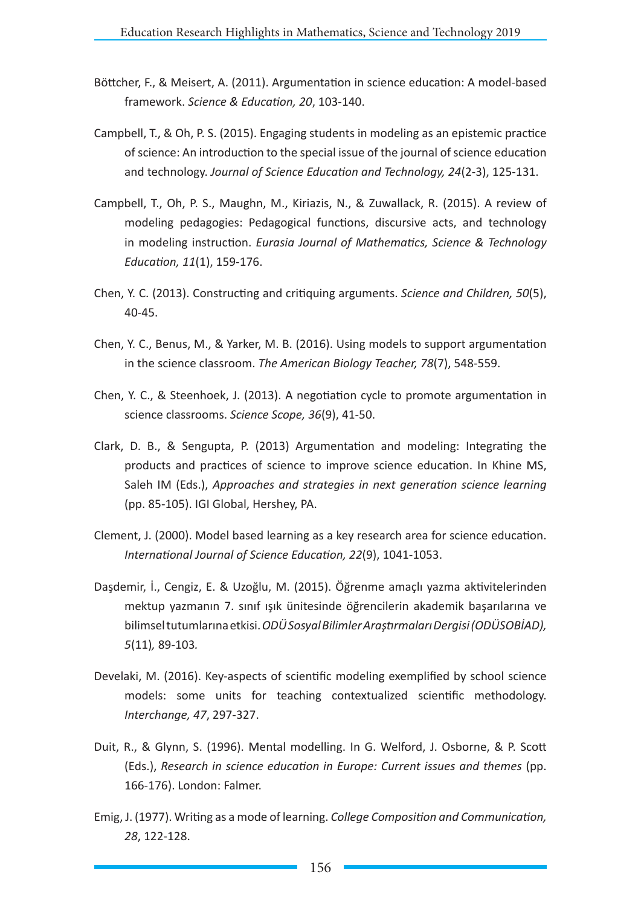- Böttcher, F., & Meisert, A. (2011). Argumentation in science education: A model-based framework. *Science & Education, 20*, 103-140.
- Campbell, T., & Oh, P. S. (2015). Engaging students in modeling as an epistemic practice of science: An introduction to the special issue of the journal of science education and technology. *Journal of Science Education and Technology, 24*(2-3), 125-131.
- Campbell, T., Oh, P. S., Maughn, M., Kiriazis, N., & Zuwallack, R. (2015). A review of modeling pedagogies: Pedagogical functions, discursive acts, and technology in modeling instruction. *Eurasia Journal of Mathematics, Science & Technology Education, 11*(1), 159-176.
- Chen, Y. C. (2013). Constructing and critiquing arguments. *Science and Children, 50*(5), 40-45.
- Chen, Y. C., Benus, M., & Yarker, M. B. (2016). Using models to support argumentation in the science classroom. *The American Biology Teacher, 78*(7), 548-559.
- Chen, Y. C., & Steenhoek, J. (2013). A negotiation cycle to promote argumentation in science classrooms. *Science Scope, 36*(9), 41-50.
- Clark, D. B., & Sengupta, P. (2013) Argumentation and modeling: Integrating the products and practices of science to improve science education. In Khine MS, Saleh IM (Eds.), *Approaches and strategies in next generation science learning* (pp. 85-105). IGI Global, Hershey, PA.
- Clement, J. (2000). Model based learning as a key research area for science education. *International Journal of Science Education, 22*(9), 1041-1053.
- Daşdemir, İ., Cengiz, E. & Uzoğlu, M. (2015). Öğrenme amaçlı yazma aktivitelerinden mektup yazmanın 7. sınıf ışık ünitesinde öğrencilerin akademik başarılarına ve bilimsel tutumlarına etkisi. *ODÜSosyal Bilimler Araştırmaları Dergisi (ODÜSOBİAD), 5*(11)*,* 89-103*.*
- Develaki, M. (2016). Key-aspects of scientific modeling exemplified by school science models: some units for teaching contextualized scientific methodology. *Interchange, 47*, 297-327.
- Duit, R., & Glynn, S. (1996). Mental modelling. In G. Welford, J. Osborne, & P. Scott (Eds.), *Research in science education in Europe: Current issues and themes* (pp. 166-176). London: Falmer.
- Emig, J. (1977). Writing as a mode of learning. *College Composition and Communication, 28*, 122-128.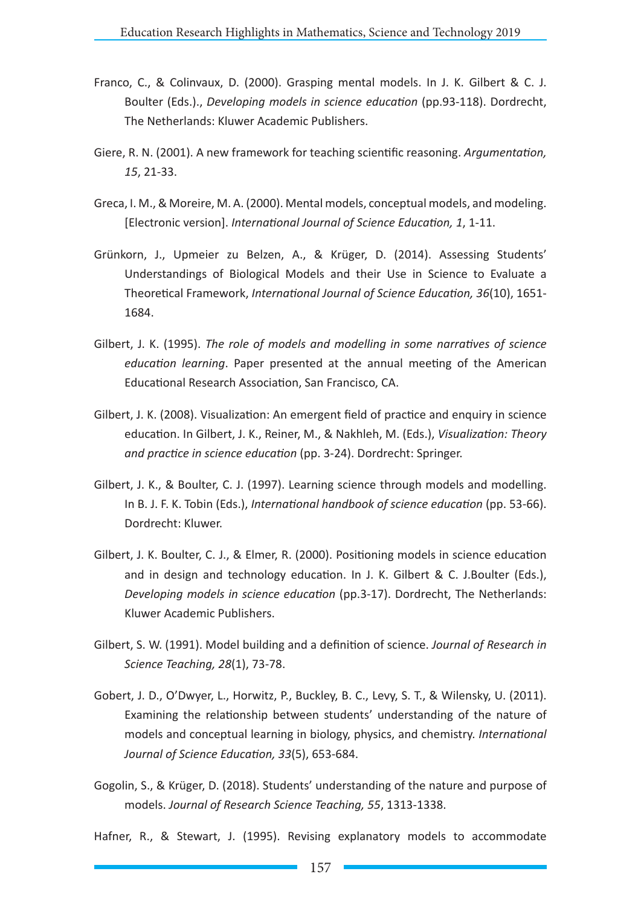- Franco, C., & Colinvaux, D. (2000). Grasping mental models. In J. K. Gilbert & C. J. Boulter (Eds.)., *Developing models in science education* (pp.93-118). Dordrecht, The Netherlands: Kluwer Academic Publishers.
- Giere, R. N. (2001). A new framework for teaching scientific reasoning. *Argumentation, 15*, 21-33.
- Greca, I. M., & Moreire, M. A. (2000). Mental models, conceptual models, and modeling. [Electronic version]. *International Journal of Science Education, 1*, 1-11.
- Grünkorn, J., Upmeier zu Belzen, A., & Krüger, D. (2014). Assessing Students' Understandings of Biological Models and their Use in Science to Evaluate a Theoretical Framework, *International Journal of Science Education, 36*(10), 1651- 1684.
- Gilbert, J. K. (1995). *The role of models and modelling in some narratives of science education learning*. Paper presented at the annual meeting of the American Educational Research Association, San Francisco, CA.
- Gilbert, J. K. (2008). Visualization: An emergent field of practice and enquiry in science education. In Gilbert, J. K., Reiner, M., & Nakhleh, M. (Eds.), *Visualization: Theory and practice in science education* (pp. 3-24). Dordrecht: Springer.
- Gilbert, J. K., & Boulter, C. J. (1997). Learning science through models and modelling. In B. J. F. K. Tobin (Eds.), *International handbook of science education* (pp. 53-66). Dordrecht: Kluwer.
- Gilbert, J. K. Boulter, C. J., & Elmer, R. (2000). Positioning models in science education and in design and technology education. In J. K. Gilbert & C. J.Boulter (Eds.), *Developing models in science education* (pp.3-17). Dordrecht, The Netherlands: Kluwer Academic Publishers.
- Gilbert, S. W. (1991). Model building and a definition of science. *Journal of Research in Science Teaching, 28*(1), 73-78.
- Gobert, J. D., O'Dwyer, L., Horwitz, P., Buckley, B. C., Levy, S. T., & Wilensky, U. (2011). Examining the relationship between students' understanding of the nature of models and conceptual learning in biology, physics, and chemistry. *International Journal of Science Education, 33*(5), 653-684.
- Gogolin, S., & Krüger, D. (2018). Students' understanding of the nature and purpose of models. *Journal of Research Science Teaching, 55*, 1313-1338.

Hafner, R., & Stewart, J. (1995). Revising explanatory models to accommodate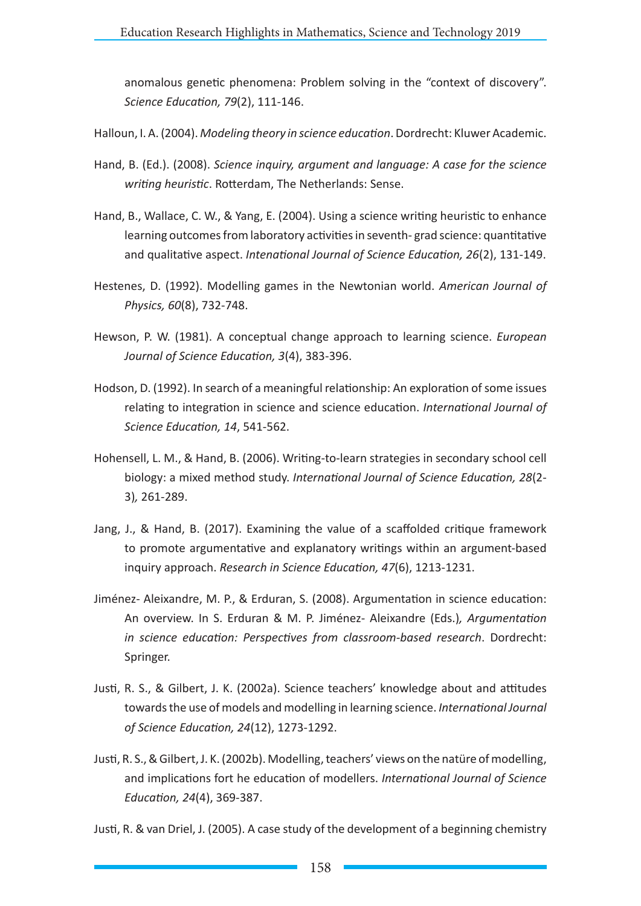anomalous genetic phenomena: Problem solving in the "context of discovery". *Science Education, 79*(2), 111-146.

- Halloun, I. A. (2004). *Modeling theory in science education*. Dordrecht: Kluwer Academic.
- Hand, B. (Ed.). (2008). *Science inquiry, argument and language: A case for the science writing heuristic*. Rotterdam, The Netherlands: Sense.
- Hand, B., Wallace, C. W., & Yang, E. (2004). Using a science writing heuristic to enhance learning outcomes from laboratory activities in seventh- grad science: quantitative and qualitative aspect. *Intenational Journal of Science Education, 26*(2), 131-149.
- Hestenes, D. (1992). Modelling games in the Newtonian world. *American Journal of Physics, 60*(8), 732-748.
- Hewson, P. W. (1981). A conceptual change approach to learning science. *European Journal of Science Education, 3*(4), 383-396.
- Hodson, D. (1992). In search of a meaningful relationship: An exploration of some issues relating to integration in science and science education. *International Journal of Science Education, 14*, 541-562.
- Hohensell, L. M., & Hand, B. (2006). Writing-to-learn strategies in secondary school cell biology: a mixed method study. *International Journal of Science Education, 28*(2- 3)*,* 261-289.
- Jang, J., & Hand, B. (2017). Examining the value of a scaffolded critique framework to promote argumentative and explanatory writings within an argument-based inquiry approach. *Research in Science Education, 47*(6), 1213-1231.
- Jiménez- Aleixandre, M. P., & Erduran, S. (2008). Argumentation in science education: An overview. In S. Erduran & M. P. Jiménez- Aleixandre (Eds.)*, Argumentation in science education: Perspectives from classroom-based research*. Dordrecht: Springer.
- Justi, R. S., & Gilbert, J. K. (2002a). Science teachers' knowledge about and attitudes towards the use of models and modelling in learning science. *International Journal of Science Education, 24*(12), 1273-1292.
- Justi, R. S., & Gilbert, J. K. (2002b). Modelling, teachers' views on the natüre of modelling, and implications fort he education of modellers. *International Journal of Science Education, 24*(4), 369-387.
- Justi, R. & van Driel, J. (2005). A case study of the development of a beginning chemistry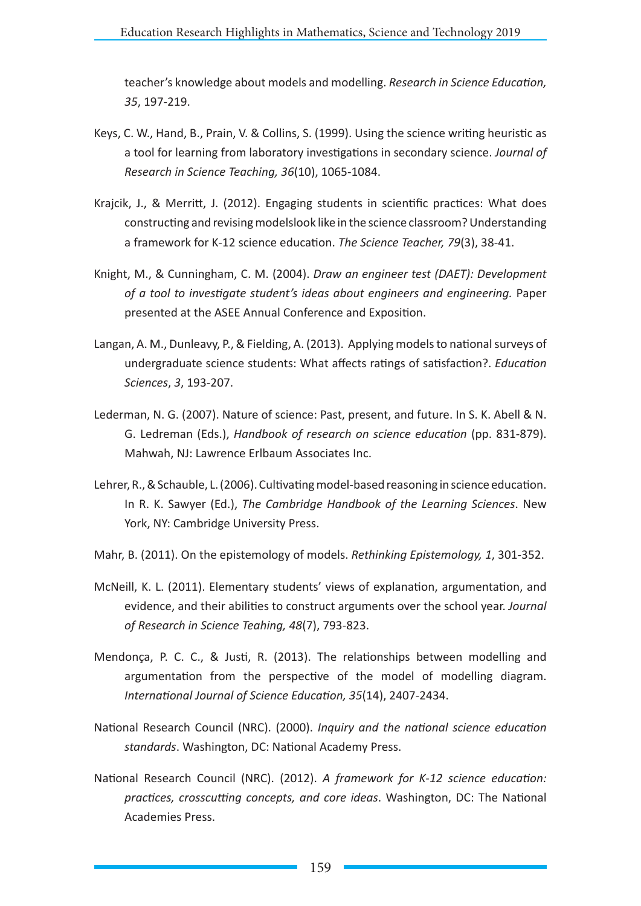teacher's knowledge about models and modelling. *Research in Science Education, 35*, 197-219.

- Keys, C. W., Hand, B., Prain, V. & Collins, S. (1999). Using the science writing heuristic as a tool for learning from laboratory investigations in secondary science. *Journal of Research in Science Teaching, 36*(10), 1065-1084.
- Krajcik, J., & Merritt, J. (2012). Engaging students in scientific practices: What does constructing and revising modelslook like in the science classroom? Understanding a framework for K-12 science education. *The Science Teacher, 79*(3), 38-41.
- Knight, M., & Cunningham, C. M. (2004). *Draw an engineer test (DAET): Development of a tool to investigate student's ideas about engineers and engineering.* Paper presented at the ASEE Annual Conference and Exposition.
- Langan, A. M., Dunleavy, P., & Fielding, A. (2013). Applying models to national surveys of undergraduate science students: What affects ratings of satisfaction?. *Education Sciences*, *3*, 193-207.
- Lederman, N. G. (2007). Nature of science: Past, present, and future. In S. K. Abell & N. G. Ledreman (Eds.), *Handbook of research on science education* (pp. 831-879). Mahwah, NJ: Lawrence Erlbaum Associates Inc.
- Lehrer, R., & Schauble, L. (2006). Cultivating model-based reasoning in science education. In R. K. Sawyer (Ed.), *The Cambridge Handbook of the Learning Sciences*. New York, NY: Cambridge University Press.
- Mahr, B. (2011). On the epistemology of models. *Rethinking Epistemology, 1*, 301-352.
- McNeill, K. L. (2011). Elementary students' views of explanation, argumentation, and evidence, and their abilities to construct arguments over the school year. *Journal of Research in Science Teahing, 48*(7), 793-823.
- Mendonça, P. C. C., & Justi, R. (2013). The relationships between modelling and argumentation from the perspective of the model of modelling diagram. *International Journal of Science Education, 35*(14), 2407-2434.
- National Research Council (NRC). (2000). *Inquiry and the national science education standards*. Washington, DC: National Academy Press.
- National Research Council (NRC). (2012). *A framework for K-12 science education: practices, crosscutting concepts, and core ideas*. Washington, DC: The National Academies Press.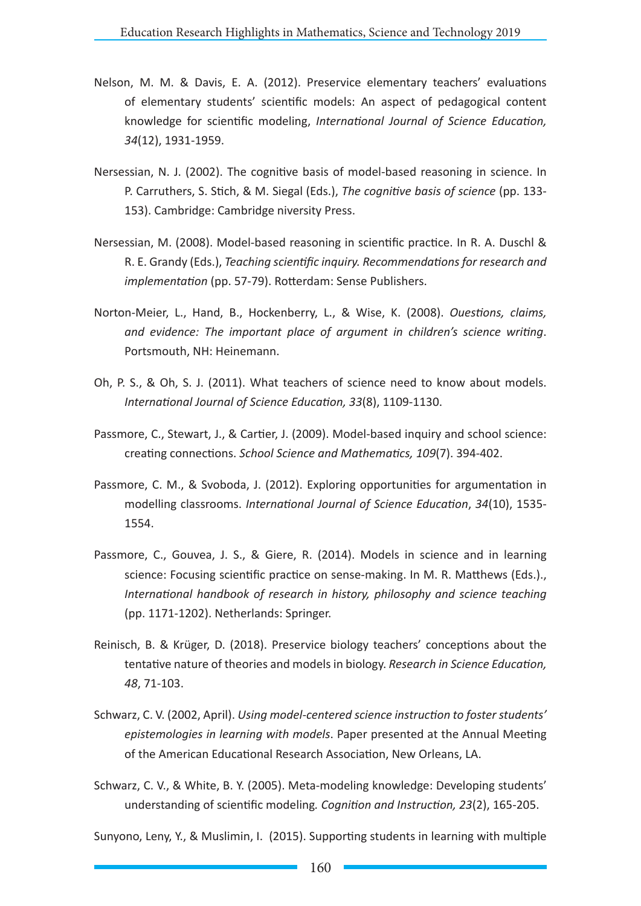- Nelson, M. M. & Davis, E. A. (2012). Preservice elementary teachers' evaluations of elementary students' scientific models: An aspect of pedagogical content knowledge for scientific modeling, *International Journal of Science Education, 34*(12), 1931-1959.
- Nersessian, N. J. (2002). The cognitive basis of model-based reasoning in science. In P. Carruthers, S. Stich, & M. Siegal (Eds.), *The cognitive basis of science* (pp. 133- 153). Cambridge: Cambridge niversity Press.
- Nersessian, M. (2008). Model-based reasoning in scientific practice. In R. A. Duschl & R. E. Grandy (Eds.), *Teaching scientific inquiry. Recommendations for research and implementation* (pp. 57-79). Rotterdam: Sense Publishers.
- Norton-Meier, L., Hand, B., Hockenberry, L., & Wise, K. (2008). *Ouestions, claims, and evidence: The important place of argument in children's science writing*. Portsmouth, NH: Heinemann.
- Oh, P. S., & Oh, S. J. (2011). What teachers of science need to know about models. *International Journal of Science Education, 33*(8), 1109-1130.
- Passmore, C., Stewart, J., & Cartier, J. (2009). Model-based inquiry and school science: creating connections. *School Science and Mathematics, 109*(7). 394-402.
- Passmore, C. M., & Svoboda, J. (2012). Exploring opportunities for argumentation in modelling classrooms. *International Journal of Science Education*, *34*(10), 1535- 1554.
- Passmore, C., Gouvea, J. S., & Giere, R. (2014). Models in science and in learning science: Focusing scientific practice on sense-making. In M. R. Matthews (Eds.)., *International handbook of research in history, philosophy and science teaching*  (pp. 1171-1202). Netherlands: Springer.
- Reinisch, B. & Krüger, D. (2018). Preservice biology teachers' conceptions about the tentative nature of theories and models in biology. *Research in Science Education, 48*, 71-103.
- Schwarz, C. V. (2002, April). *Using model-centered science instruction to foster students' epistemologies in learning with models*. Paper presented at the Annual Meeting of the American Educational Research Association, New Orleans, LA.
- Schwarz, C. V., & White, B. Y. (2005). Meta-modeling knowledge: Developing students' understanding of scientific modeling*. Cognition and Instruction, 23*(2), 165-205.

Sunyono, Leny, Y., & Muslimin, I. (2015). Supporting students in learning with multiple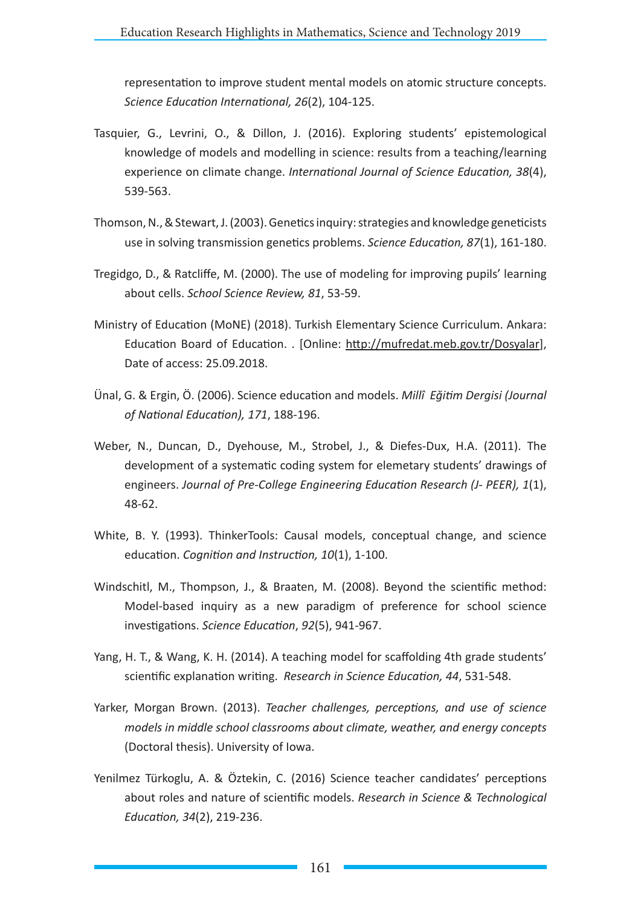representation to improve student mental models on atomic structure concepts. *Science Education International, 26*(2), 104-125.

- Tasquier, G., Levrini, O., & Dillon, J. (2016). Exploring students' epistemological knowledge of models and modelling in science: results from a teaching/learning experience on climate change. *International Journal of Science Education, 38*(4), 539-563.
- Thomson, N., & Stewart, J. (2003). Genetics inquiry: strategies and knowledge geneticists use in solving transmission genetics problems. *Science Education, 87*(1), 161-180.
- Tregidgo, D., & Ratcliffe, M. (2000). The use of modeling for improving pupils' learning about cells. *School Science Review, 81*, 53-59.
- Ministry of Education (MoNE) (2018). Turkish Elementary Science Curriculum. Ankara: Education Board of Education. . [Online: http://mufredat.meb.gov.tr/Dosyalar], Date of access: 25.09.2018.
- Ünal, G. & Ergin, Ö. (2006). Science education and models. *Millî Eğitim Dergisi (Journal of National Education), 171*, 188-196.
- Weber, N., Duncan, D., Dyehouse, M., Strobel, J., & Diefes-Dux, H.A. (2011). The development of a systematic coding system for elemetary students' drawings of engineers. *Journal of Pre-College Engineering Education Research (J- PEER), 1*(1), 48-62.
- White, B. Y. (1993). ThinkerTools: Causal models, conceptual change, and science education. *Cognition and Instruction, 10*(1), 1-100.
- Windschitl, M., Thompson, J., & Braaten, M. (2008). Beyond the scientific method: Model‐based inquiry as a new paradigm of preference for school science investigations. *Science Education*, *92*(5), 941-967.
- Yang, H. T., & Wang, K. H. (2014). A teaching model for scaffolding 4th grade students' scientific explanation writing. *Research in Science Education, 44*, 531-548.
- Yarker, Morgan Brown. (2013). *Teacher challenges, perceptions, and use of science models in middle school classrooms about climate, weather, and energy concepts*  (Doctoral thesis). University of Iowa.
- Yenilmez Türkoglu, A. & Öztekin, C. (2016) Science teacher candidates' perceptions about roles and nature of scientific models. *Research in Science & Technological Education, 34*(2), 219-236.